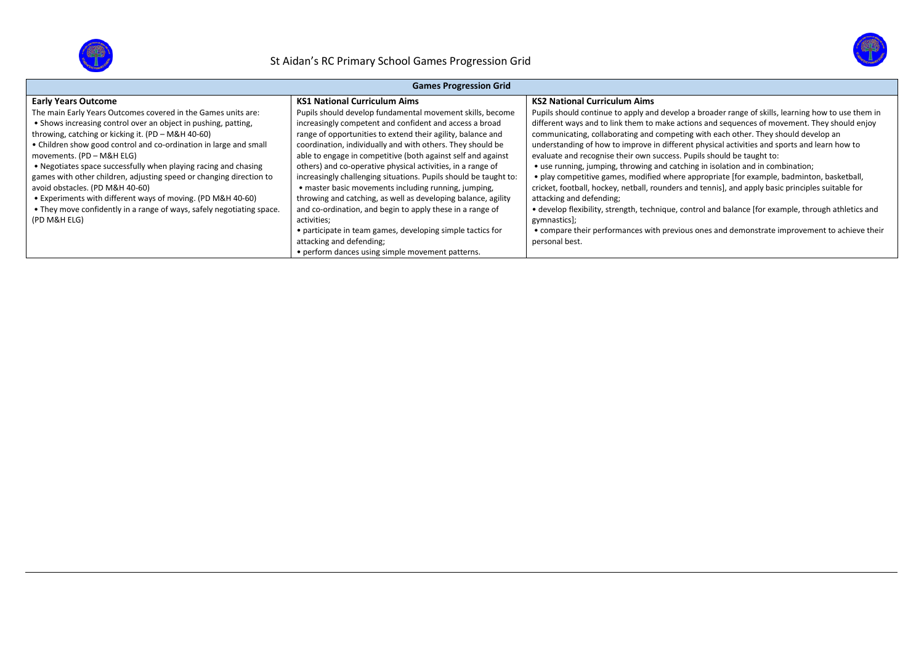



| <b>Games Progression Grid</b>                                         |                                                                  |                                                                                                     |  |  |  |  |
|-----------------------------------------------------------------------|------------------------------------------------------------------|-----------------------------------------------------------------------------------------------------|--|--|--|--|
| <b>Early Years Outcome</b>                                            | <b>KS1 National Curriculum Aims</b>                              | <b>KS2 National Curriculum Aims</b>                                                                 |  |  |  |  |
| The main Early Years Outcomes covered in the Games units are:         | Pupils should develop fundamental movement skills, become        | Pupils should continue to apply and develop a broader range of skills, learning how to use them in  |  |  |  |  |
| • Shows increasing control over an object in pushing, patting,        | increasingly competent and confident and access a broad          | different ways and to link them to make actions and sequences of movement. They should enjoy        |  |  |  |  |
| throwing, catching or kicking it. (PD - M&H 40-60)                    | range of opportunities to extend their agility, balance and      | communicating, collaborating and competing with each other. They should develop an                  |  |  |  |  |
| • Children show good control and co-ordination in large and small     | coordination, individually and with others. They should be       | understanding of how to improve in different physical activities and sports and learn how to        |  |  |  |  |
| movements. (PD - M&H ELG)                                             | able to engage in competitive (both against self and against     | evaluate and recognise their own success. Pupils should be taught to:                               |  |  |  |  |
| • Negotiates space successfully when playing racing and chasing       | others) and co-operative physical activities, in a range of      | • use running, jumping, throwing and catching in isolation and in combination;                      |  |  |  |  |
| games with other children, adjusting speed or changing direction to   | increasingly challenging situations. Pupils should be taught to: | • play competitive games, modified where appropriate [for example, badminton, basketball,           |  |  |  |  |
| avoid obstacles. (PD M&H 40-60)                                       | • master basic movements including running, jumping,             | cricket, football, hockey, netball, rounders and tennis], and apply basic principles suitable for   |  |  |  |  |
| • Experiments with different ways of moving. (PD M&H 40-60)           | throwing and catching, as well as developing balance, agility    | attacking and defending;                                                                            |  |  |  |  |
| • They move confidently in a range of ways, safely negotiating space. | and co-ordination, and begin to apply these in a range of        | • develop flexibility, strength, technique, control and balance [for example, through athletics and |  |  |  |  |
| (PD M&H ELG)                                                          | activities;                                                      | gymnastics];                                                                                        |  |  |  |  |
|                                                                       | • participate in team games, developing simple tactics for       | • compare their performances with previous ones and demonstrate improvement to achieve their        |  |  |  |  |
|                                                                       | attacking and defending;                                         | personal best.                                                                                      |  |  |  |  |
|                                                                       | • perform dances using simple movement patterns.                 |                                                                                                     |  |  |  |  |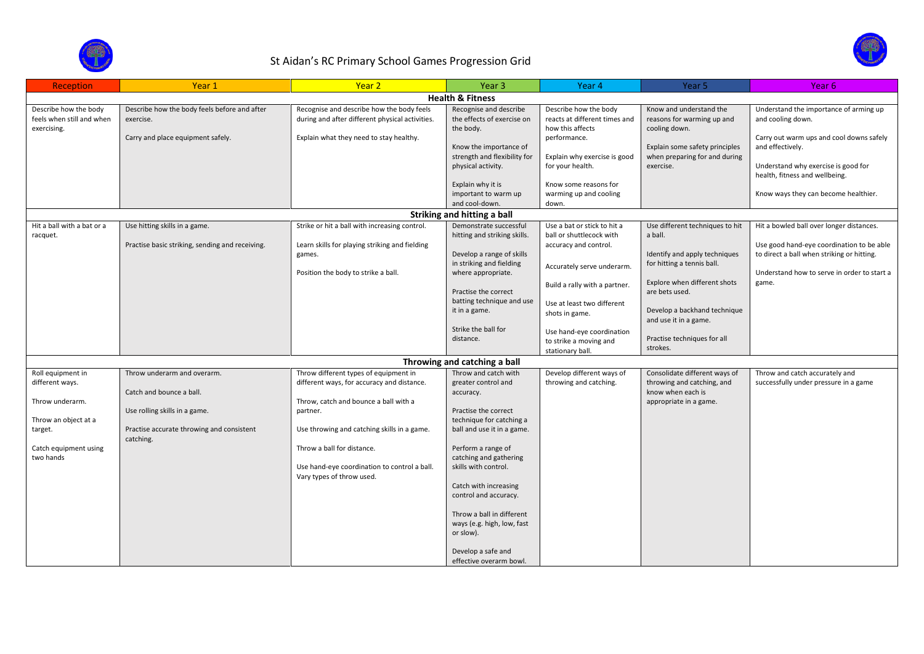

## St Aidan's RC Primary School Games Progression Grid

| Reception                                                                                                                        | Year 1                                                                                                                                             | Year 2                                                                                                                                                                                                                                                                                             | Year <sub>3</sub>                                                                                                                                                                                                                                                                                                                                                                             | Year 4                                                                                                         | Year <sub>5</sub>                                                                                          | Year 6                                                                                                                              |
|----------------------------------------------------------------------------------------------------------------------------------|----------------------------------------------------------------------------------------------------------------------------------------------------|----------------------------------------------------------------------------------------------------------------------------------------------------------------------------------------------------------------------------------------------------------------------------------------------------|-----------------------------------------------------------------------------------------------------------------------------------------------------------------------------------------------------------------------------------------------------------------------------------------------------------------------------------------------------------------------------------------------|----------------------------------------------------------------------------------------------------------------|------------------------------------------------------------------------------------------------------------|-------------------------------------------------------------------------------------------------------------------------------------|
|                                                                                                                                  |                                                                                                                                                    |                                                                                                                                                                                                                                                                                                    | <b>Health &amp; Fitness</b>                                                                                                                                                                                                                                                                                                                                                                   |                                                                                                                |                                                                                                            |                                                                                                                                     |
| Describe how the body<br>feels when still and when<br>exercising.                                                                | Describe how the body feels before and after<br>exercise.                                                                                          | Recognise and describe how the body feels<br>during and after different physical activities                                                                                                                                                                                                        | Recognise and describe<br>the effects of exercise on<br>the body.                                                                                                                                                                                                                                                                                                                             | Describe how the body<br>reacts at different times and<br>how this affects                                     | Know and understand the<br>reasons for warming up and<br>cooling down.                                     | Understand the importance of arming up<br>and cooling down.                                                                         |
|                                                                                                                                  | Carry and place equipment safely.                                                                                                                  | Explain what they need to stay healthy.                                                                                                                                                                                                                                                            | Know the importance of<br>strength and flexibility for                                                                                                                                                                                                                                                                                                                                        | performance.<br>Explain why exercise is good                                                                   | Explain some safety principles<br>when preparing for and during                                            | Carry out warm ups and cool downs safely<br>and effectively.                                                                        |
|                                                                                                                                  |                                                                                                                                                    |                                                                                                                                                                                                                                                                                                    | physical activity.<br>Explain why it is                                                                                                                                                                                                                                                                                                                                                       | for your health.<br>Know some reasons for                                                                      | exercise.                                                                                                  | Understand why exercise is good for<br>health, fitness and wellbeing.                                                               |
|                                                                                                                                  |                                                                                                                                                    |                                                                                                                                                                                                                                                                                                    | important to warm up<br>and cool-down.                                                                                                                                                                                                                                                                                                                                                        | warming up and cooling<br>down.                                                                                |                                                                                                            | Know ways they can become healthier.                                                                                                |
|                                                                                                                                  |                                                                                                                                                    |                                                                                                                                                                                                                                                                                                    | Striking and hitting a ball                                                                                                                                                                                                                                                                                                                                                                   |                                                                                                                |                                                                                                            |                                                                                                                                     |
| Hit a ball with a bat or a<br>racquet.                                                                                           | Use hitting skills in a game.<br>Practise basic striking, sending and receiving.                                                                   | Strike or hit a ball with increasing control.<br>Learn skills for playing striking and fielding<br>games.                                                                                                                                                                                          | Demonstrate successful<br>hitting and striking skills.<br>Develop a range of skills<br>in striking and fielding                                                                                                                                                                                                                                                                               | Use a bat or stick to hit a<br>ball or shuttlecock with<br>accuracy and control.<br>Accurately serve underarm. | Use different techniques to hit<br>a ball.<br>Identify and apply techniques<br>for hitting a tennis ball.  | Hit a bowled ball over longer distances.<br>Use good hand-eye coordination to be able<br>to direct a ball when striking or hitting. |
|                                                                                                                                  |                                                                                                                                                    | Position the body to strike a ball.                                                                                                                                                                                                                                                                | where appropriate.<br>Practise the correct<br>batting technique and use<br>it in a game.                                                                                                                                                                                                                                                                                                      | Build a rally with a partner.<br>Use at least two different<br>shots in game.                                  | Explore when different shots<br>are bets used.<br>Develop a backhand technique<br>and use it in a game.    | Understand how to serve in order to start a<br>game.                                                                                |
|                                                                                                                                  |                                                                                                                                                    |                                                                                                                                                                                                                                                                                                    | Strike the ball for<br>distance.                                                                                                                                                                                                                                                                                                                                                              | Use hand-eye coordination<br>to strike a moving and<br>stationary ball.                                        | Practise techniques for all<br>strokes.                                                                    |                                                                                                                                     |
|                                                                                                                                  |                                                                                                                                                    |                                                                                                                                                                                                                                                                                                    | Throwing and catching a ball                                                                                                                                                                                                                                                                                                                                                                  |                                                                                                                |                                                                                                            |                                                                                                                                     |
| Roll equipment in<br>different ways.<br>Throw underarm.<br>Throw an object at a<br>target.<br>Catch equipment using<br>two hands | Throw underarm and overarm.<br>Catch and bounce a ball.<br>Use rolling skills in a game.<br>Practise accurate throwing and consistent<br>catching. | Throw different types of equipment in<br>different ways, for accuracy and distance.<br>Throw, catch and bounce a ball with a<br>partner.<br>Use throwing and catching skills in a game.<br>Throw a ball for distance.<br>Use hand-eye coordination to control a ball.<br>Vary types of throw used. | Throw and catch with<br>greater control and<br>accuracy.<br>Practise the correct<br>technique for catching a<br>ball and use it in a game.<br>Perform a range of<br>catching and gathering<br>skills with control.<br>Catch with increasing<br>control and accuracy.<br>Throw a ball in different<br>ways (e.g. high, low, fast<br>or slow).<br>Develop a safe and<br>effective overarm bowl. | Develop different ways of<br>throwing and catching.                                                            | Consolidate different ways of<br>throwing and catching, and<br>know when each is<br>appropriate in a game. | Throw and catch accurately and<br>successfully under pressure in a game                                                             |

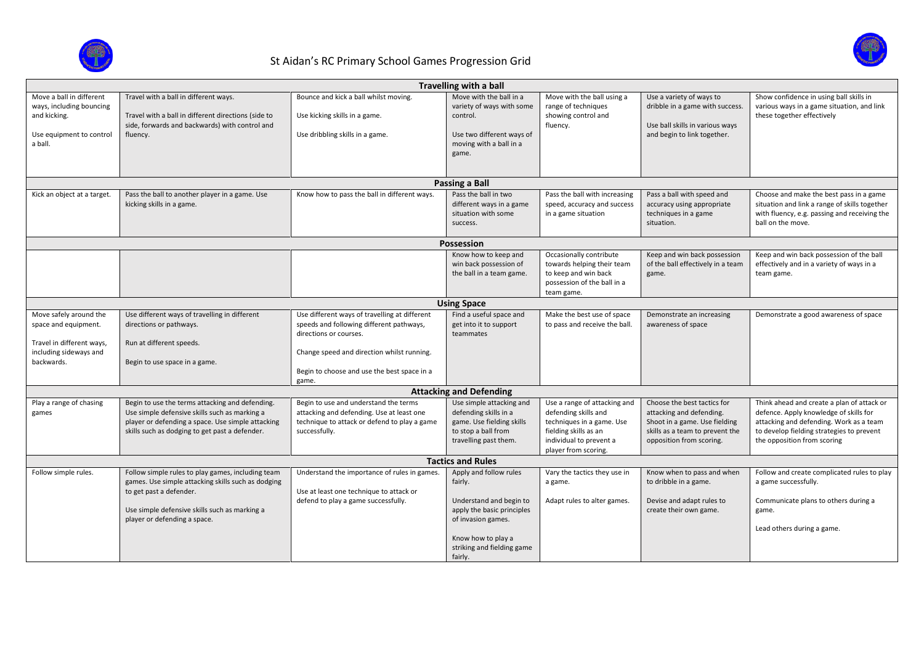

## St Aidan's RC Primary School Games Progression Grid



| <b>Travelling with a ball</b>                                                                               |                                                                                                                                                                                                                     |                                                                                                                                                     |                                                                                                                                   |                                                                                                                                                               |                                                                                                                                                         |                                                                                                                                                                                                             |  |
|-------------------------------------------------------------------------------------------------------------|---------------------------------------------------------------------------------------------------------------------------------------------------------------------------------------------------------------------|-----------------------------------------------------------------------------------------------------------------------------------------------------|-----------------------------------------------------------------------------------------------------------------------------------|---------------------------------------------------------------------------------------------------------------------------------------------------------------|---------------------------------------------------------------------------------------------------------------------------------------------------------|-------------------------------------------------------------------------------------------------------------------------------------------------------------------------------------------------------------|--|
| Move a ball in different<br>ways, including bouncing<br>and kicking.<br>Use equipment to control<br>a ball. | Travel with a ball in different ways.<br>Travel with a ball in different directions (side to<br>side, forwards and backwards) with control and<br>fluency.                                                          | Bounce and kick a ball whilst moving.<br>Use kicking skills in a game.<br>Use dribbling skills in a game.                                           | Move with the ball in a<br>variety of ways with some<br>control.<br>Use two different ways of<br>moving with a ball in a<br>game. | Move with the ball using a<br>range of techniques<br>showing control and<br>fluency.                                                                          | Use a variety of ways to<br>dribble in a game with success.<br>Use ball skills in various ways<br>and begin to link together.                           | Show confidence in using ball skills in<br>various ways in a game situation, and link<br>these together effectively                                                                                         |  |
| <b>Passing a Ball</b>                                                                                       |                                                                                                                                                                                                                     |                                                                                                                                                     |                                                                                                                                   |                                                                                                                                                               |                                                                                                                                                         |                                                                                                                                                                                                             |  |
| Kick an object at a target.                                                                                 | Pass the ball to another player in a game. Use<br>kicking skills in a game.                                                                                                                                         | Know how to pass the ball in different ways.                                                                                                        | Pass the ball in two<br>different ways in a game<br>situation with some<br>success.                                               | Pass the ball with increasing<br>speed, accuracy and success<br>in a game situation                                                                           | Pass a ball with speed and<br>accuracy using appropriate<br>techniques in a game<br>situation.                                                          | Choose and make the best pass in a game<br>situation and link a range of skills together<br>with fluency, e.g. passing and receiving the<br>ball on the move.                                               |  |
| <b>Possession</b>                                                                                           |                                                                                                                                                                                                                     |                                                                                                                                                     |                                                                                                                                   |                                                                                                                                                               |                                                                                                                                                         |                                                                                                                                                                                                             |  |
|                                                                                                             |                                                                                                                                                                                                                     |                                                                                                                                                     | Know how to keep and<br>win back possession of<br>the ball in a team game.                                                        | Occasionally contribute<br>towards helping their team<br>to keep and win back<br>possession of the ball in a<br>team game.                                    | Keep and win back possession<br>of the ball effectively in a team<br>game.                                                                              | Keep and win back possession of the ball<br>effectively and in a variety of ways in a<br>team game.                                                                                                         |  |
| <b>Using Space</b>                                                                                          |                                                                                                                                                                                                                     |                                                                                                                                                     |                                                                                                                                   |                                                                                                                                                               |                                                                                                                                                         |                                                                                                                                                                                                             |  |
| Move safely around the<br>space and equipment.                                                              | Use different ways of travelling in different<br>directions or pathways.                                                                                                                                            | Use different ways of travelling at different<br>speeds and following different pathways,<br>directions or courses.                                 | Find a useful space and<br>get into it to support<br>teammates                                                                    | Make the best use of space<br>to pass and receive the ball.                                                                                                   | Demonstrate an increasing<br>awareness of space                                                                                                         | Demonstrate a good awareness of space                                                                                                                                                                       |  |
| Travel in different ways,<br>including sideways and<br>backwards.                                           | Run at different speeds.<br>Begin to use space in a game.                                                                                                                                                           | Change speed and direction whilst running.                                                                                                          |                                                                                                                                   |                                                                                                                                                               |                                                                                                                                                         |                                                                                                                                                                                                             |  |
|                                                                                                             |                                                                                                                                                                                                                     | Begin to choose and use the best space in a<br>game.                                                                                                |                                                                                                                                   |                                                                                                                                                               |                                                                                                                                                         |                                                                                                                                                                                                             |  |
|                                                                                                             |                                                                                                                                                                                                                     |                                                                                                                                                     | <b>Attacking and Defending</b>                                                                                                    |                                                                                                                                                               |                                                                                                                                                         |                                                                                                                                                                                                             |  |
| Play a range of chasing<br>games                                                                            | Begin to use the terms attacking and defending.<br>Use simple defensive skills such as marking a<br>player or defending a space. Use simple attacking<br>skills such as dodging to get past a defender.             | Begin to use and understand the terms<br>attacking and defending. Use at least one<br>technique to attack or defend to play a game<br>successfully. | Use simple attacking and<br>defending skills in a<br>game. Use fielding skills<br>to stop a ball from<br>travelling past them.    | Use a range of attacking and<br>defending skills and<br>techniques in a game. Use<br>fielding skills as an<br>individual to prevent a<br>player from scoring. | Choose the best tactics for<br>attacking and defending.<br>Shoot in a game. Use fielding<br>skills as a team to prevent the<br>opposition from scoring. | Think ahead and create a plan of attack or<br>defence. Apply knowledge of skills for<br>attacking and defending. Work as a team<br>to develop fielding strategies to prevent<br>the opposition from scoring |  |
| <b>Tactics and Rules</b>                                                                                    |                                                                                                                                                                                                                     |                                                                                                                                                     |                                                                                                                                   |                                                                                                                                                               |                                                                                                                                                         |                                                                                                                                                                                                             |  |
| Follow simple rules.                                                                                        | Follow simple rules to play games, including team<br>games. Use simple attacking skills such as dodging<br>to get past a defender.<br>Use simple defensive skills such as marking a<br>player or defending a space. | Understand the importance of rules in games.<br>Use at least one technique to attack or<br>defend to play a game successfully.                      | Apply and follow rules<br>fairly.<br>Understand and begin to<br>apply the basic principles<br>of invasion games.                  | Vary the tactics they use in<br>a game.<br>Adapt rules to alter games.                                                                                        | Know when to pass and when<br>to dribble in a game.<br>Devise and adapt rules to<br>create their own game.                                              | Follow and create complicated rules to play<br>a game successfully.<br>Communicate plans to others during a<br>game.                                                                                        |  |
|                                                                                                             |                                                                                                                                                                                                                     |                                                                                                                                                     | Know how to play a<br>striking and fielding game<br>fairly.                                                                       |                                                                                                                                                               |                                                                                                                                                         | Lead others during a game.                                                                                                                                                                                  |  |